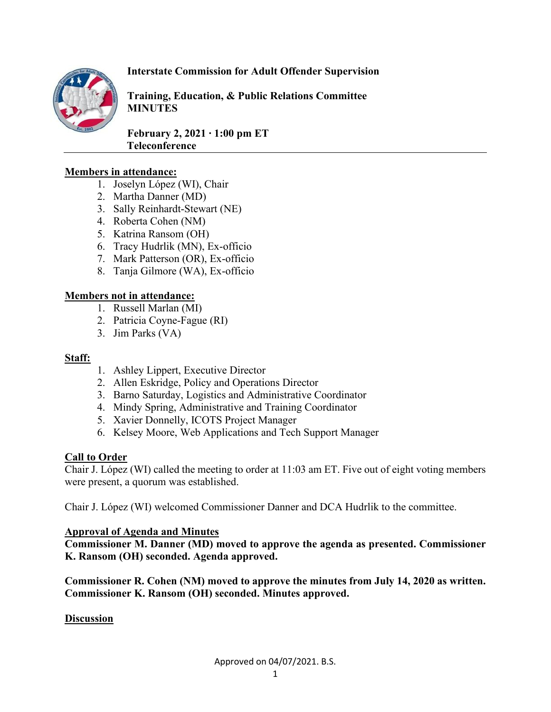

# **Interstate Commission for Adult Offender Supervision**

**Training, Education, & Public Relations Committee MINUTES**

**February 2, 2021 ∙ 1:00 pm ET Teleconference** 

#### **Members in attendance:**

- 1. Joselyn López (WI), Chair
- 2. Martha Danner (MD)
- 3. Sally Reinhardt-Stewart (NE)
- 4. Roberta Cohen (NM)
- 5. Katrina Ransom (OH)
- 6. Tracy Hudrlik (MN), Ex-officio
- 7. Mark Patterson (OR), Ex-officio
- 8. Tanja Gilmore (WA), Ex-officio

## **Members not in attendance:**

- 1. Russell Marlan (MI)
- 2. Patricia Coyne-Fague (RI)
- 3. Jim Parks (VA)

#### **Staff:**

- 1. Ashley Lippert, Executive Director
- 2. Allen Eskridge, Policy and Operations Director
- 3. Barno Saturday, Logistics and Administrative Coordinator
- 4. Mindy Spring, Administrative and Training Coordinator
- 5. Xavier Donnelly, ICOTS Project Manager
- 6. Kelsey Moore, Web Applications and Tech Support Manager

## **Call to Order**

Chair J. López (WI) called the meeting to order at 11:03 am ET. Five out of eight voting members were present, a quorum was established.

Chair J. López (WI) welcomed Commissioner Danner and DCA Hudrlik to the committee.

#### **Approval of Agenda and Minutes**

**Commissioner M. Danner (MD) moved to approve the agenda as presented. Commissioner K. Ransom (OH) seconded. Agenda approved.**

**Commissioner R. Cohen (NM) moved to approve the minutes from July 14, 2020 as written. Commissioner K. Ransom (OH) seconded. Minutes approved.** 

#### **Discussion**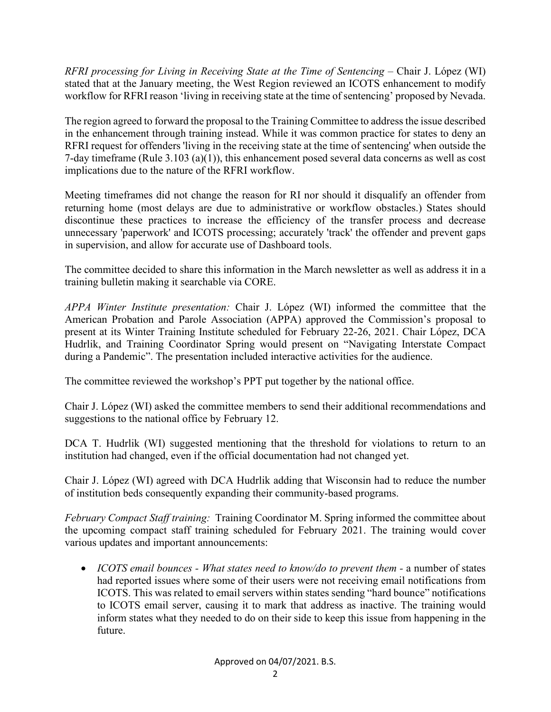*RFRI processing for Living in Receiving State at the Time of Sentencing –* Chair J. López (WI) stated that at the January meeting, the West Region reviewed an ICOTS enhancement to modify workflow for RFRI reason 'living in receiving state at the time of sentencing' proposed by Nevada.

The region agreed to forward the proposal to the Training Committee to addressthe issue described in the enhancement through training instead. While it was common practice for states to deny an RFRI request for offenders 'living in the receiving state at the time of sentencing' when outside the 7-day timeframe (Rule 3.103 (a)(1)), this enhancement posed several data concerns as well as cost implications due to the nature of the RFRI workflow.

Meeting timeframes did not change the reason for RI nor should it disqualify an offender from returning home (most delays are due to administrative or workflow obstacles.) States should discontinue these practices to increase the efficiency of the transfer process and decrease unnecessary 'paperwork' and ICOTS processing; accurately 'track' the offender and prevent gaps in supervision, and allow for accurate use of Dashboard tools.

The committee decided to share this information in the March newsletter as well as address it in a training bulletin making it searchable via CORE.

*APPA Winter Institute presentation:* Chair J. López (WI) informed the committee that the American Probation and Parole Association (APPA) approved the Commission's proposal to present at its Winter Training Institute scheduled for February 22-26, 2021. Chair López, DCA Hudrlik, and Training Coordinator Spring would present on "Navigating Interstate Compact during a Pandemic". The presentation included interactive activities for the audience.

The committee reviewed the workshop's PPT put together by the national office.

Chair J. López (WI) asked the committee members to send their additional recommendations and suggestions to the national office by February 12.

DCA T. Hudrlik (WI) suggested mentioning that the threshold for violations to return to an institution had changed, even if the official documentation had not changed yet.

Chair J. López (WI) agreed with DCA Hudrlik adding that Wisconsin had to reduce the number of institution beds consequently expanding their community-based programs.

*February Compact Staff training:* Training Coordinator M. Spring informed the committee about the upcoming compact staff training scheduled for February 2021. The training would cover various updates and important announcements:

• *ICOTS email bounces - What states need to know/do to prevent them -* a number of states had reported issues where some of their users were not receiving email notifications from ICOTS. This was related to email servers within states sending "hard bounce" notifications to ICOTS email server, causing it to mark that address as inactive. The training would inform states what they needed to do on their side to keep this issue from happening in the future.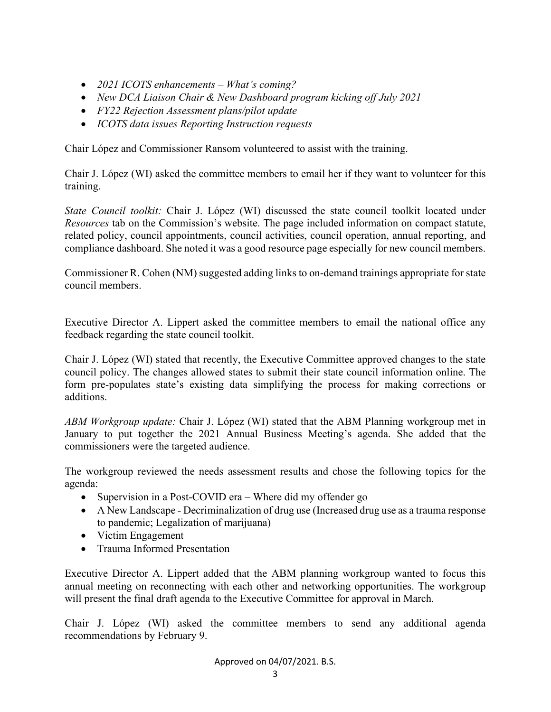- *2021 ICOTS enhancements – What's coming?*
- *New DCA Liaison Chair & New Dashboard program kicking off July 2021*
- *FY22 Rejection Assessment plans/pilot update*
- *ICOTS data issues Reporting Instruction requests*

Chair López and Commissioner Ransom volunteered to assist with the training.

Chair J. López (WI) asked the committee members to email her if they want to volunteer for this training.

*State Council toolkit:* Chair J. López (WI) discussed the state council toolkit located under *Resources* tab on the Commission's website. The page included information on compact statute, related policy, council appointments, council activities, council operation, annual reporting, and compliance dashboard. She noted it was a good resource page especially for new council members.

Commissioner R. Cohen (NM) suggested adding links to on-demand trainings appropriate for state council members.

Executive Director A. Lippert asked the committee members to email the national office any feedback regarding the state council toolkit.

Chair J. López (WI) stated that recently, the Executive Committee approved changes to the state council policy. The changes allowed states to submit their state council information online. The form pre-populates state's existing data simplifying the process for making corrections or additions.

*ABM Workgroup update:* Chair J. López (WI) stated that the ABM Planning workgroup met in January to put together the 2021 Annual Business Meeting's agenda. She added that the commissioners were the targeted audience.

The workgroup reviewed the needs assessment results and chose the following topics for the agenda:

- Supervision in a Post-COVID era Where did my offender go
- A New Landscape Decriminalization of drug use (Increased drug use as a trauma response to pandemic; Legalization of marijuana)
- Victim Engagement
- Trauma Informed Presentation

Executive Director A. Lippert added that the ABM planning workgroup wanted to focus this annual meeting on reconnecting with each other and networking opportunities. The workgroup will present the final draft agenda to the Executive Committee for approval in March.

Chair J. López (WI) asked the committee members to send any additional agenda recommendations by February 9.